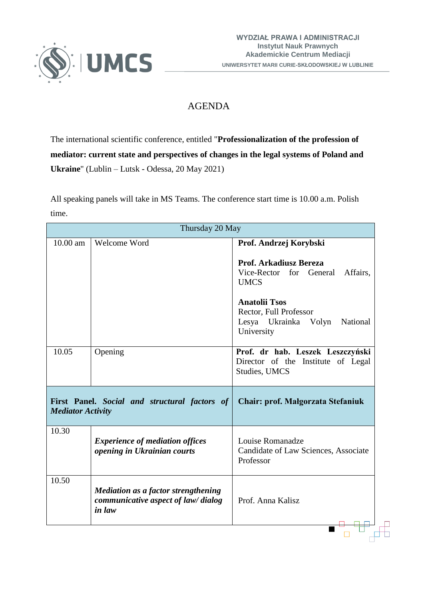

## AGENDA

The international scientific conference, entitled "**Professionalization of the profession of mediator: current state and perspectives of changes in the legal systems of Poland and Ukraine**" (Lublin – Lutsk - Odessa, 20 May 2021)

All speaking panels will take in MS Teams. The conference start time is 10.00 a.m. Polish time.

| Thursday 20 May                                                           |                                                                                            |                                                                                                  |  |
|---------------------------------------------------------------------------|--------------------------------------------------------------------------------------------|--------------------------------------------------------------------------------------------------|--|
| $10.00$ am                                                                | Welcome Word                                                                               | Prof. Andrzej Korybski<br>Prof. Arkadiusz Bereza                                                 |  |
|                                                                           |                                                                                            | Vice-Rector for General<br>Affairs,<br><b>UMCS</b>                                               |  |
|                                                                           |                                                                                            | <b>Anatolii Tsos</b><br>Rector, Full Professor<br>Lesya Ukrainka Volyn<br>National<br>University |  |
| 10.05                                                                     | Opening                                                                                    | Prof. dr hab. Leszek Leszczyński<br>Director of the Institute of Legal<br>Studies, UMCS          |  |
| First Panel. Social and structural factors of<br><b>Mediator Activity</b> |                                                                                            | Chair: prof. Małgorzata Stefaniuk                                                                |  |
| 10.30                                                                     | <b>Experience of mediation offices</b><br>opening in Ukrainian courts                      | Louise Romanadze<br>Candidate of Law Sciences, Associate<br>Professor                            |  |
| 10.50                                                                     | <b>Mediation as a factor strengthening</b><br>communicative aspect of law/dialog<br>in law | Prof. Anna Kalisz                                                                                |  |
|                                                                           |                                                                                            |                                                                                                  |  |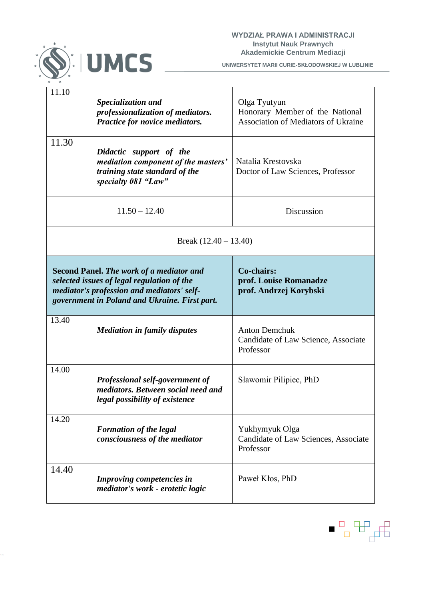

**UNIWERSYTET MARII CURIE-SKŁODOWSKIEJ W LUBLINIE**

| 11.10                                                                                                                                                                                        | Specialization and<br>professionalization of mediators.<br>Practice for novice mediators.                               | Olga Tyutyun<br>Honorary Member of the National<br><b>Association of Mediators of Ukraine</b> |  |  |
|----------------------------------------------------------------------------------------------------------------------------------------------------------------------------------------------|-------------------------------------------------------------------------------------------------------------------------|-----------------------------------------------------------------------------------------------|--|--|
| 11.30                                                                                                                                                                                        | Didactic support of the<br>mediation component of the masters'<br>training state standard of the<br>specialty 081 "Law" | Natalia Krestovska<br>Doctor of Law Sciences, Professor                                       |  |  |
| $11.50 - 12.40$                                                                                                                                                                              |                                                                                                                         | Discussion                                                                                    |  |  |
| Break $(12.40 - 13.40)$                                                                                                                                                                      |                                                                                                                         |                                                                                               |  |  |
| <b>Second Panel. The work of a mediator and</b><br>selected issues of legal regulation of the<br>mediator's profession and mediators' self-<br>government in Poland and Ukraine. First part. |                                                                                                                         | Co-chairs:<br>prof. Louise Romanadze<br>prof. Andrzej Korybski                                |  |  |
| 13.40                                                                                                                                                                                        | <b>Mediation in family disputes</b>                                                                                     | <b>Anton Demchuk</b><br>Candidate of Law Science, Associate<br>Professor                      |  |  |
| 14.00                                                                                                                                                                                        | Professional self-government of<br>mediators. Between social need and<br>legal possibility of existence                 | Sławomir Pilipiec, PhD                                                                        |  |  |
| 14.20                                                                                                                                                                                        | <b>Formation of the legal</b><br>consciousness of the mediator                                                          | Yukhymyuk Olga<br>Candidate of Law Sciences, Associate<br>Professor                           |  |  |
| 14.40                                                                                                                                                                                        | Improving competencies in<br>mediator's work - erotetic logic                                                           | Paweł Kłos, PhD                                                                               |  |  |